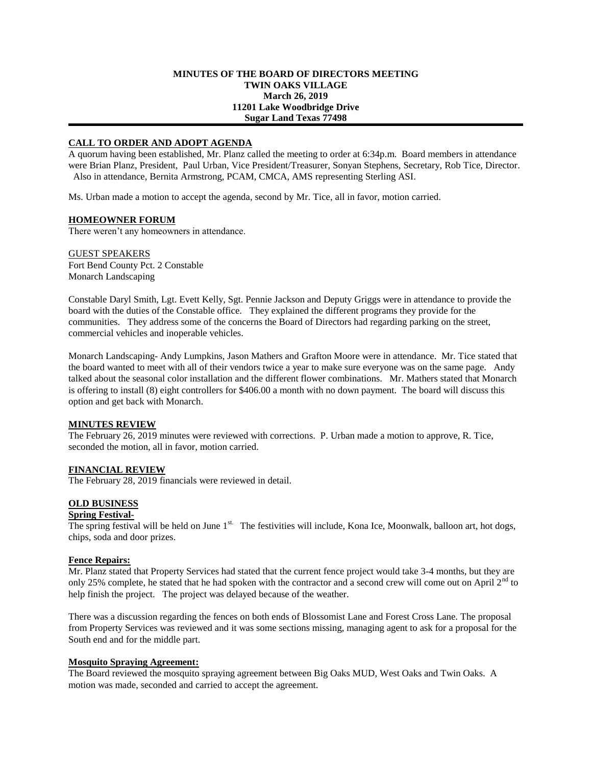## **MINUTES OF THE BOARD OF DIRECTORS MEETING TWIN OAKS VILLAGE March 26, 2019 11201 Lake Woodbridge Drive Sugar Land Texas 77498**

## **CALL TO ORDER AND ADOPT AGENDA**

A quorum having been established, Mr. Planz called the meeting to order at 6:34p.m. Board members in attendance were Brian Planz, President, Paul Urban, Vice President/Treasurer, Sonyan Stephens, Secretary, Rob Tice, Director. Also in attendance, Bernita Armstrong, PCAM, CMCA, AMS representing Sterling ASI.

Ms. Urban made a motion to accept the agenda, second by Mr. Tice, all in favor, motion carried.

## **HOMEOWNER FORUM**

There weren't any homeowners in attendance.

GUEST SPEAKERS Fort Bend County Pct. 2 Constable Monarch Landscaping

Constable Daryl Smith, Lgt. Evett Kelly, Sgt. Pennie Jackson and Deputy Griggs were in attendance to provide the board with the duties of the Constable office. They explained the different programs they provide for the communities. They address some of the concerns the Board of Directors had regarding parking on the street, commercial vehicles and inoperable vehicles.

Monarch Landscaping- Andy Lumpkins, Jason Mathers and Grafton Moore were in attendance. Mr. Tice stated that the board wanted to meet with all of their vendors twice a year to make sure everyone was on the same page. Andy talked about the seasonal color installation and the different flower combinations. Mr. Mathers stated that Monarch is offering to install (8) eight controllers for \$406.00 a month with no down payment. The board will discuss this option and get back with Monarch.

# **MINUTES REVIEW**

The February 26, 2019 minutes were reviewed with corrections. P. Urban made a motion to approve, R. Tice, seconded the motion, all in favor, motion carried.

# **FINANCIAL REVIEW**

The February 28, 2019 financials were reviewed in detail.

# **OLD BUSINESS**

## **Spring Festival-**

The spring festival will be held on June  $1<sup>st.</sup>$  The festivities will include, Kona Ice, Moonwalk, balloon art, hot dogs, chips, soda and door prizes.

#### **Fence Repairs:**

Mr. Planz stated that Property Services had stated that the current fence project would take 3-4 months, but they are only 25% complete, he stated that he had spoken with the contractor and a second crew will come out on April  $2<sup>nd</sup>$  to help finish the project. The project was delayed because of the weather.

There was a discussion regarding the fences on both ends of Blossomist Lane and Forest Cross Lane. The proposal from Property Services was reviewed and it was some sections missing, managing agent to ask for a proposal for the South end and for the middle part.

#### **Mosquito Spraying Agreement:**

The Board reviewed the mosquito spraying agreement between Big Oaks MUD, West Oaks and Twin Oaks. A motion was made, seconded and carried to accept the agreement.